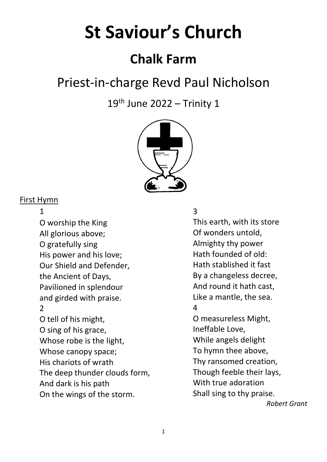# **St Saviour's Church**

# **Chalk Farm**

# Priest-in-charge Revd Paul Nicholson

19th June 2022 – Trinity 1



#### First Hymn

#### 1

O worship the King All glorious above; O gratefully sing His power and his love; Our Shield and Defender, the Ancient of Days, Pavilioned in splendour and girded with praise. 2 O tell of his might, O sing of his grace, Whose robe is the light, Whose canopy space; His chariots of wrath The deep thunder clouds form, And dark is his path On the wings of the storm.

# 3

This earth, with its store Of wonders untold, Almighty thy power Hath founded of old: Hath stablished it fast By a changeless decree, And round it hath cast, Like a mantle, the sea. 4

O measureless Might, Ineffable Love, While angels delight To hymn thee above, Thy ransomed creation, Though feeble their lays, With true adoration Shall sing to thy praise.

*Robert Grant*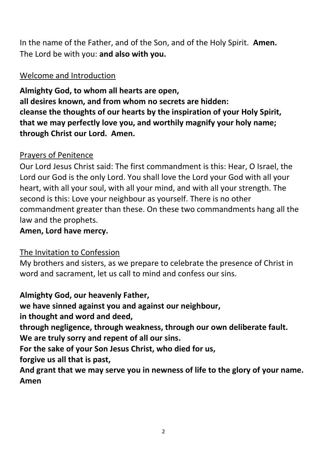In the name of the Father, and of the Son, and of the Holy Spirit. **Amen.** The Lord be with you: **and also with you.** 

# Welcome and Introduction

**Almighty God, to whom all hearts are open, all desires known, and from whom no secrets are hidden: cleanse the thoughts of our hearts by the inspiration of your Holy Spirit, that we may perfectly love you, and worthily magnify your holy name; through Christ our Lord. Amen.** 

# Prayers of Penitence

Our Lord Jesus Christ said: The first commandment is this: Hear, O Israel, the Lord our God is the only Lord. You shall love the Lord your God with all your heart, with all your soul, with all your mind, and with all your strength. The second is this: Love your neighbour as yourself. There is no other commandment greater than these. On these two commandments hang all the law and the prophets.

# **Amen, Lord have mercy.**

# The Invitation to Confession

My brothers and sisters, as we prepare to celebrate the presence of Christ in word and sacrament, let us call to mind and confess our sins.

# **Almighty God, our heavenly Father,**

**we have sinned against you and against our neighbour,** 

**in thought and word and deed,**

**through negligence, through weakness, through our own deliberate fault. We are truly sorry and repent of all our sins.**

**For the sake of your Son Jesus Christ, who died for us,** 

**forgive us all that is past,**

**And grant that we may serve you in newness of life to the glory of your name. Amen**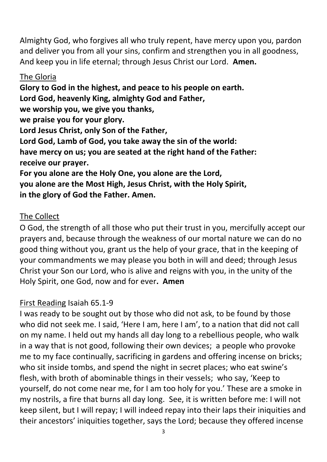Almighty God, who forgives all who truly repent, have mercy upon you, pardon and deliver you from all your sins, confirm and strengthen you in all goodness, And keep you in life eternal; through Jesus Christ our Lord. **Amen.** 

### The Gloria

**Glory to God in the highest, and peace to his people on earth. Lord God, heavenly King, almighty God and Father, we worship you, we give you thanks, we praise you for your glory. Lord Jesus Christ, only Son of the Father, Lord God, Lamb of God, you take away the sin of the world: have mercy on us; you are seated at the right hand of the Father: receive our prayer. For you alone are the Holy One, you alone are the Lord, you alone are the Most High, Jesus Christ, with the Holy Spirit, in the glory of God the Father. Amen.**

### The Collect

O God, the strength of all those who put their trust in you, mercifully accept our prayers and, because through the weakness of our mortal nature we can do no good thing without you, grant us the help of your grace, that in the keeping of your commandments we may please you both in will and deed; through Jesus Christ your Son our Lord, who is alive and reigns with you, in the unity of the Holy Spirit, one God, now and for ever**. Amen**

# First Reading Isaiah 65.1-9

I was ready to be sought out by those who did not ask, to be found by those who did not seek me. I said, 'Here I am, here I am', to a nation that did not call on my name. I held out my hands all day long to a rebellious people, who walk in a way that is not good, following their own devices; a people who provoke me to my face continually, sacrificing in gardens and offering incense on bricks; who sit inside tombs, and spend the night in secret places; who eat swine's flesh, with broth of abominable things in their vessels; who say, 'Keep to yourself, do not come near me, for I am too holy for you.' These are a smoke in my nostrils, a fire that burns all day long. See, it is written before me: I will not keep silent, but I will repay; I will indeed repay into their laps their iniquities and their ancestors' iniquities together, says the Lord; because they offered incense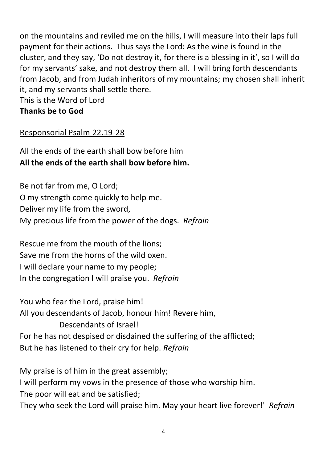on the mountains and reviled me on the hills, I will measure into their laps full payment for their actions. Thus says the Lord: As the wine is found in the cluster, and they say, 'Do not destroy it, for there is a blessing in it', so I will do for my servants' sake, and not destroy them all. I will bring forth descendants from Jacob, and from Judah inheritors of my mountains; my chosen shall inherit it, and my servants shall settle there.

This is the Word of Lord

**Thanks be to God**

# Responsorial Psalm 22.19-28

All the ends of the earth shall bow before him **All the ends of the earth shall bow before him.**

Be not far from me, O Lord; O my strength come quickly to help me. Deliver my life from the sword, My precious life from the power of the dogs. *Refrain*

Rescue me from the mouth of the lions; Save me from the horns of the wild oxen. I will declare your name to my people; In the congregation I will praise you. *Refrain*

You who fear the Lord, praise him! All you descendants of Jacob, honour him! Revere him, Descendants of Israel! For he has not despised or disdained the suffering of the afflicted; But he has listened to their cry for help. *Refrain*

My praise is of him in the great assembly; I will perform my vows in the presence of those who worship him. The poor will eat and be satisfied; They who seek the Lord will praise him. May your heart live forever!' *Refrain*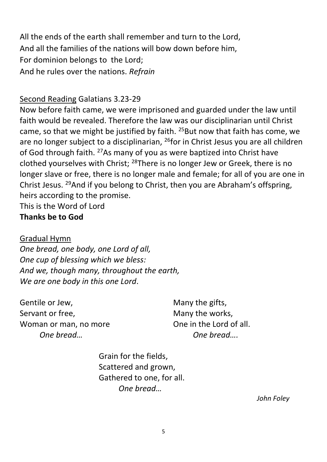All the ends of the earth shall remember and turn to the Lord, And all the families of the nations will bow down before him, For dominion belongs to the Lord; And he rules over the nations. *Refrain*

### Second Reading Galatians 3.23-29

Now before faith came, we were imprisoned and guarded under the law until faith would be revealed. Therefore the law was our disciplinarian until Christ came, so that we might be justified by faith.  $25$ But now that faith has come, we are no longer subject to a disciplinarian, <sup>26</sup>for in Christ Jesus you are all children of God through faith. <sup>27</sup>As many of you as were baptized into Christ have clothed yourselves with Christ; <sup>28</sup>There is no longer Jew or Greek, there is no longer slave or free, there is no longer male and female; for all of you are one in Christ Jesus. <sup>29</sup>And if you belong to Christ, then you are Abraham's offspring, heirs according to the promise. This is the Word of Lord

**Thanks be to God**

Gradual Hymn

*One bread, one body, one Lord of all, One cup of blessing which we bless: And we, though many, throughout the earth, We are one body in this one Lord*.

Gentile or Jew, Servant or free, Woman or man, no more *One bread…*

Many the gifts, Many the works, One in the Lord of all. *One bread….*

Grain for the fields, Scattered and grown, Gathered to one, for all. *One bread…*

*John Foley*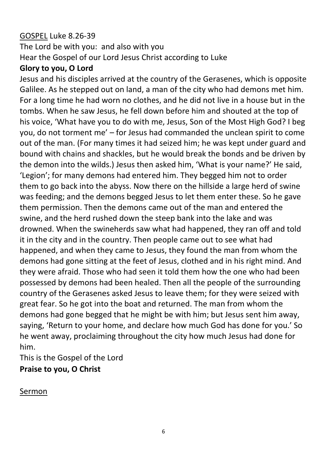### GOSPEL Luke 8.26-39

The Lord be with you: and also with you Hear the Gospel of our Lord Jesus Christ according to Luke

# **Glory to you, O Lord**

Jesus and his disciples arrived at the country of the Gerasenes, which is opposite Galilee. As he stepped out on land, a man of the city who had demons met him. For a long time he had worn no clothes, and he did not live in a house but in the tombs. When he saw Jesus, he fell down before him and shouted at the top of his voice, 'What have you to do with me, Jesus, Son of the Most High God? I beg you, do not torment me' – for Jesus had commanded the unclean spirit to come out of the man. (For many times it had seized him; he was kept under guard and bound with chains and shackles, but he would break the bonds and be driven by the demon into the wilds.) Jesus then asked him, 'What is your name?' He said, 'Legion'; for many demons had entered him. They begged him not to order them to go back into the abyss. Now there on the hillside a large herd of swine was feeding; and the demons begged Jesus to let them enter these. So he gave them permission. Then the demons came out of the man and entered the swine, and the herd rushed down the steep bank into the lake and was drowned. When the swineherds saw what had happened, they ran off and told it in the city and in the country. Then people came out to see what had happened, and when they came to Jesus, they found the man from whom the demons had gone sitting at the feet of Jesus, clothed and in his right mind. And they were afraid. Those who had seen it told them how the one who had been possessed by demons had been healed. Then all the people of the surrounding country of the Gerasenes asked Jesus to leave them; for they were seized with great fear. So he got into the boat and returned. The man from whom the demons had gone begged that he might be with him; but Jesus sent him away, saying, 'Return to your home, and declare how much God has done for you.' So he went away, proclaiming throughout the city how much Jesus had done for him.

This is the Gospel of the Lord

# **Praise to you, O Christ**

# Sermon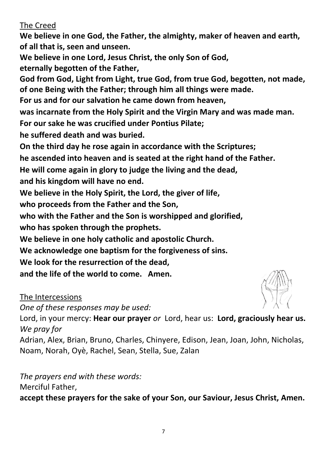The Creed

**We believe in one God, the Father, the almighty, maker of heaven and earth, of all that is, seen and unseen.** 

**We believe in one Lord, Jesus Christ, the only Son of God,** 

**eternally begotten of the Father,** 

**God from God, Light from Light, true God, from true God, begotten, not made, of one Being with the Father; through him all things were made.** 

**For us and for our salvation he came down from heaven,** 

**was incarnate from the Holy Spirit and the Virgin Mary and was made man. For our sake he was crucified under Pontius Pilate;** 

**he suffered death and was buried.** 

**On the third day he rose again in accordance with the Scriptures;** 

**he ascended into heaven and is seated at the right hand of the Father.** 

**He will come again in glory to judge the living and the dead,**

**and his kingdom will have no end.** 

**We believe in the Holy Spirit, the Lord, the giver of life,** 

**who proceeds from the Father and the Son,** 

**who with the Father and the Son is worshipped and glorified,**

**who has spoken through the prophets.** 

**We believe in one holy catholic and apostolic Church.** 

**We acknowledge one baptism for the forgiveness of sins.** 

**We look for the resurrection of the dead,** 

**and the life of the world to come. Amen.** 

The Intercessions

*One of these responses may be used:*

Lord, in your mercy: **Hear our prayer** *or* Lord, hear us: **Lord, graciously hear us.**  *We pray for*

Adrian, Alex, Brian, Bruno, Charles, Chinyere, Edison, Jean, Joan, John, Nicholas, Noam, Norah, Oyè, Rachel, Sean, Stella, Sue, Zalan

*The prayers end with these words:*  Merciful Father,

**accept these prayers for the sake of your Son, our Saviour, Jesus Christ, Amen.** 

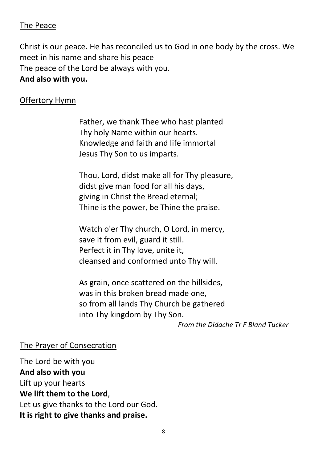#### The Peace

Christ is our peace. He has reconciled us to God in one body by the cross. We meet in his name and share his peace The peace of the Lord be always with you. **And also with you.** 

### Offertory Hymn

Father, we thank Thee who hast planted Thy holy Name within our hearts. Knowledge and faith and life immortal Jesus Thy Son to us imparts.

Thou, Lord, didst make all for Thy pleasure, didst give man food for all his days, giving in Christ the Bread eternal; Thine is the power, be Thine the praise.

Watch o'er Thy church, O Lord, in mercy, save it from evil, guard it still. Perfect it in Thy love, unite it, cleansed and conformed unto Thy will.

As grain, once scattered on the hillsides, was in this broken bread made one, so from all lands Thy Church be gathered into Thy kingdom by Thy Son.

*From the Didache Tr F Bland Tucker*

#### The Prayer of Consecration

The Lord be with you **And also with you** Lift up your hearts **We lift them to the Lord**, Let us give thanks to the Lord our God. **It is right to give thanks and praise.**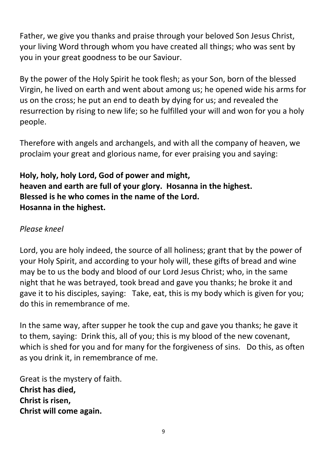Father, we give you thanks and praise through your beloved Son Jesus Christ, your living Word through whom you have created all things; who was sent by you in your great goodness to be our Saviour.

By the power of the Holy Spirit he took flesh; as your Son, born of the blessed Virgin, he lived on earth and went about among us; he opened wide his arms for us on the cross; he put an end to death by dying for us; and revealed the resurrection by rising to new life; so he fulfilled your will and won for you a holy people.

Therefore with angels and archangels, and with all the company of heaven, we proclaim your great and glorious name, for ever praising you and saying:

# **Holy, holy, holy Lord, God of power and might, heaven and earth are full of your glory. Hosanna in the highest. Blessed is he who comes in the name of the Lord. Hosanna in the highest.**

# *Please kneel*

Lord, you are holy indeed, the source of all holiness; grant that by the power of your Holy Spirit, and according to your holy will, these gifts of bread and wine may be to us the body and blood of our Lord Jesus Christ; who, in the same night that he was betrayed, took bread and gave you thanks; he broke it and gave it to his disciples, saying: Take, eat, this is my body which is given for you; do this in remembrance of me.

In the same way, after supper he took the cup and gave you thanks; he gave it to them, saying: Drink this, all of you; this is my blood of the new covenant, which is shed for you and for many for the forgiveness of sins. Do this, as often as you drink it, in remembrance of me.

Great is the mystery of faith. **Christ has died, Christ is risen, Christ will come again.**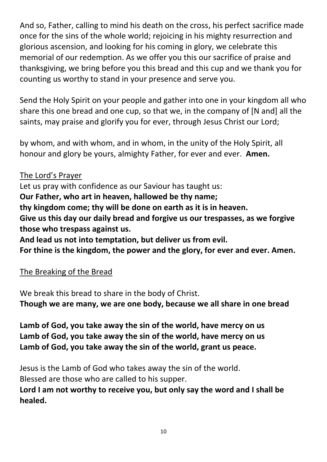And so, Father, calling to mind his death on the cross, his perfect sacrifice made once for the sins of the whole world; rejoicing in his mighty resurrection and glorious ascension, and looking for his coming in glory, we celebrate this memorial of our redemption. As we offer you this our sacrifice of praise and thanksgiving, we bring before you this bread and this cup and we thank you for counting us worthy to stand in your presence and serve you.

Send the Holy Spirit on your people and gather into one in your kingdom all who share this one bread and one cup, so that we, in the company of [N and] all the saints, may praise and glorify you for ever, through Jesus Christ our Lord;

by whom, and with whom, and in whom, in the unity of the Holy Spirit, all honour and glory be yours, almighty Father, for ever and ever. **Amen.** 

The Lord's Prayer Let us pray with confidence as our Saviour has taught us: **Our Father, who art in heaven, hallowed be thy name; thy kingdom come; thy will be done on earth as it is in heaven. Give us this day our daily bread and forgive us our trespasses, as we forgive those who trespass against us. And lead us not into temptation, but deliver us from evil. For thine is the kingdom, the power and the glory, for ever and ever. Amen.** 

The Breaking of the Bread

We break this bread to share in the body of Christ. **Though we are many, we are one body, because we all share in one bread**

**Lamb of God, you take away the sin of the world, have mercy on us Lamb of God, you take away the sin of the world, have mercy on us Lamb of God, you take away the sin of the world, grant us peace.** 

Jesus is the Lamb of God who takes away the sin of the world.

Blessed are those who are called to his supper.

**Lord I am not worthy to receive you, but only say the word and I shall be healed.**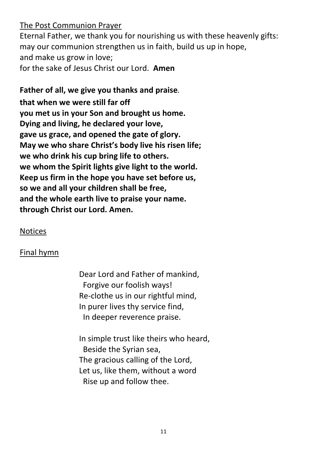The Post Communion Prayer

Eternal Father, we thank you for nourishing us with these heavenly gifts: may our communion strengthen us in faith, build us up in hope, and make us grow in love; for the sake of Jesus Christ our Lord. **Amen**

**Father of all, we give you thanks and praise***.* **that when we were still far off you met us in your Son and brought us home. Dying and living, he declared your love, gave us grace, and opened the gate of glory. May we who share Christ's body live his risen life; we who drink his cup bring life to others. we whom the Spirit lights give light to the world. Keep us firm in the hope you have set before us, so we and all your children shall be free, and the whole earth live to praise your name. through Christ our Lord. Amen.** 

#### **Notices**

# Final hymn

Dear Lord and Father of mankind, Forgive our foolish ways! Re-clothe us in our rightful mind, In purer lives thy service find, In deeper reverence praise.

In simple trust like theirs who heard, Beside the Syrian sea, The gracious calling of the Lord, Let us, like them, without a word Rise up and follow thee.